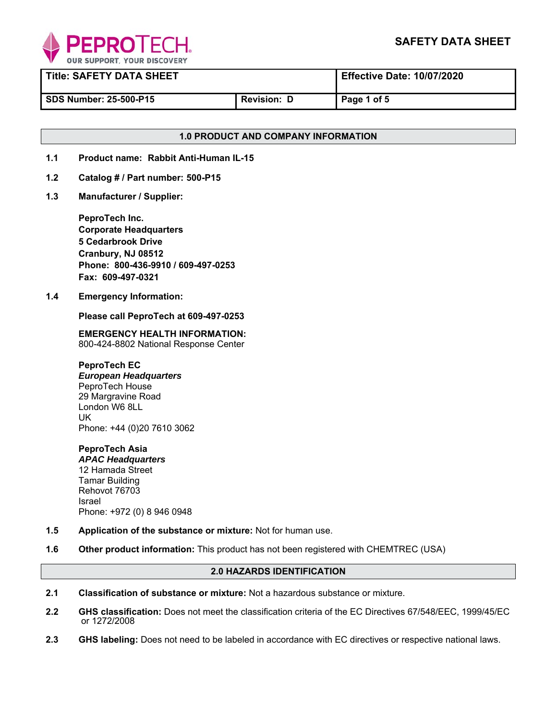

| <b>Title: SAFETY DATA SHEET</b> |                  | <b>Effective Date: 10/07/2020</b> |
|---------------------------------|------------------|-----------------------------------|
| <b>SDS Number: 25-500-P15</b>   | <b>Revision:</b> | Page 1 of 5                       |

# **1.0 PRODUCT AND COMPANY INFORMATION**

- **1.1 Product name: Rabbit Anti-Human IL-15**
- **1.2 Catalog # / Part number: 500-P15**
- **1.3 Manufacturer / Supplier:**

**PeproTech Inc. Corporate Headquarters 5 Cedarbrook Drive Cranbury, NJ 08512 Phone: 800-436-9910 / 609-497-0253 Fax: 609-497-0321** 

**1.4 Emergency Information:** 

 **Please call PeproTech at 609-497-0253** 

**EMERGENCY HEALTH INFORMATION:** 800-424-8802 National Response Center

**PeproTech EC**  *European Headquarters* PeproTech House 29 Margravine Road London W6 8LL UK Phone: +44 (0)20 7610 3062

**PeproTech Asia**  *APAC Headquarters* 12 Hamada Street Tamar Building Rehovot 76703 Israel Phone: +972 (0) 8 946 0948

- **1.5 Application of the substance or mixture:** Not for human use.
- **1.6 Other product information:** This product has not been registered with CHEMTREC (USA)

# **2.0 HAZARDS IDENTIFICATION**

- **2.1 Classification of substance or mixture:** Not a hazardous substance or mixture.
- **2.2 GHS classification:** Does not meet the classification criteria of the EC Directives 67/548/EEC, 1999/45/EC or 1272/2008
- **2.3 GHS labeling:** Does not need to be labeled in accordance with EC directives or respective national laws.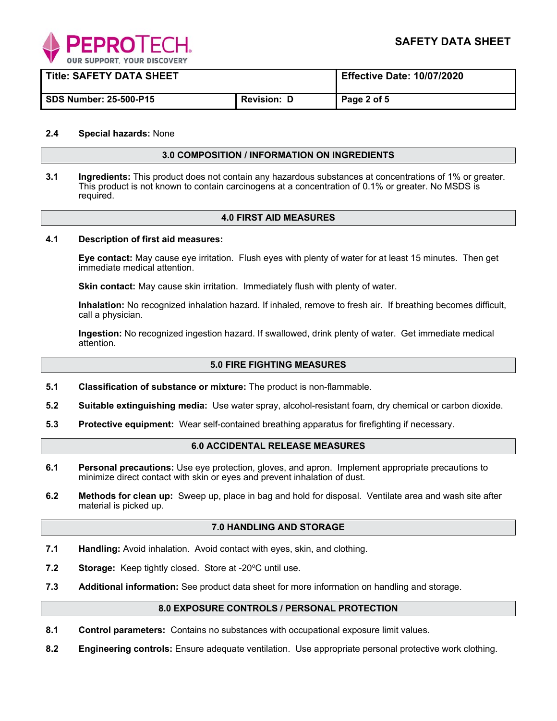

| <b>Title: SAFETY DATA SHEET</b> |                    | <b>Effective Date: 10/07/2020</b> |
|---------------------------------|--------------------|-----------------------------------|
| <b>SDS Number: 25-500-P15</b>   | <b>Revision: D</b> | Page 2 of 5                       |

## **2.4 Special hazards:** None

#### **3.0 COMPOSITION / INFORMATION ON INGREDIENTS**

**3.1 Ingredients:** This product does not contain any hazardous substances at concentrations of 1% or greater. This product is not known to contain carcinogens at a concentration of 0.1% or greater. No MSDS is required.

## **4.0 FIRST AID MEASURES**

#### **4.1 Description of first aid measures:**

**Eye contact:** May cause eye irritation. Flush eyes with plenty of water for at least 15 minutes. Then get immediate medical attention.

**Skin contact:** May cause skin irritation. Immediately flush with plenty of water.

**Inhalation:** No recognized inhalation hazard. If inhaled, remove to fresh air. If breathing becomes difficult, call a physician.

**Ingestion:** No recognized ingestion hazard. If swallowed, drink plenty of water. Get immediate medical attention.

#### **5.0 FIRE FIGHTING MEASURES**

- **5.1 Classification of substance or mixture:** The product is non-flammable.
- **5.2 Suitable extinguishing media:** Use water spray, alcohol-resistant foam, dry chemical or carbon dioxide.
- **5.3 Protective equipment:** Wear self-contained breathing apparatus for firefighting if necessary.

## **6.0 ACCIDENTAL RELEASE MEASURES**

- **6.1 Personal precautions:** Use eye protection, gloves, and apron. Implement appropriate precautions to minimize direct contact with skin or eyes and prevent inhalation of dust.
- **6.2 Methods for clean up:** Sweep up, place in bag and hold for disposal. Ventilate area and wash site after material is picked up.

#### **7.0 HANDLING AND STORAGE**

- **7.1 Handling:** Avoid inhalation. Avoid contact with eyes, skin, and clothing.
- **7.2** Storage: Keep tightly closed. Store at -20°C until use.
- **7.3 Additional information:** See product data sheet for more information on handling and storage.

#### **8.0 EXPOSURE CONTROLS / PERSONAL PROTECTION**

- **8.1 Control parameters:** Contains no substances with occupational exposure limit values.
- **8.2 Engineering controls:** Ensure adequate ventilation. Use appropriate personal protective work clothing.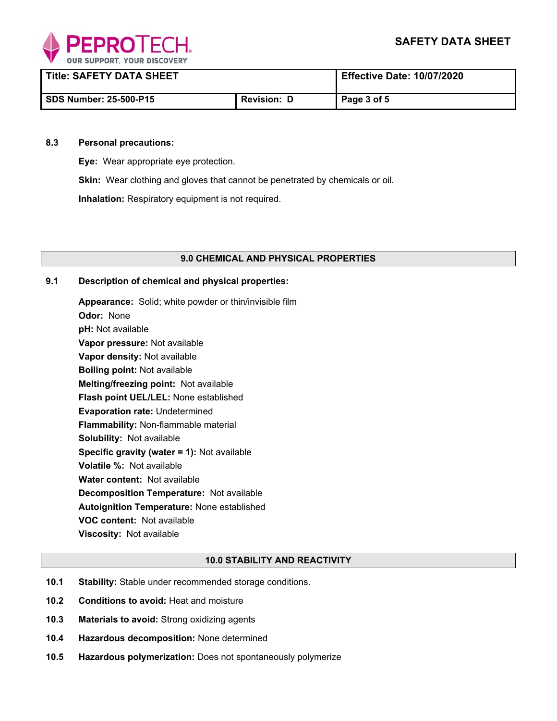

| <b>Title: SAFETY DATA SHEET</b> |                    | <b>Effective Date: 10/07/2020</b> |
|---------------------------------|--------------------|-----------------------------------|
| <b>SDS Number: 25-500-P15</b>   | <b>Revision: D</b> | Page 3 of 5                       |

#### **8.3 Personal precautions:**

**Eye:** Wear appropriate eye protection.

**Skin:** Wear clothing and gloves that cannot be penetrated by chemicals or oil.

**Inhalation:** Respiratory equipment is not required.

## **9.0 CHEMICAL AND PHYSICAL PROPERTIES**

## **9.1 Description of chemical and physical properties:**

**Appearance:** Solid; white powder or thin/invisible film **Odor:** None **pH:** Not available **Vapor pressure:** Not available **Vapor density:** Not available **Boiling point:** Not available **Melting/freezing point:** Not available **Flash point UEL/LEL:** None established **Evaporation rate:** Undetermined **Flammability:** Non-flammable material **Solubility:** Not available **Specific gravity (water = 1):** Not available **Volatile %:** Not available **Water content:** Not available **Decomposition Temperature:** Not available **Autoignition Temperature:** None established **VOC content:** Not available **Viscosity:** Not available

## **10.0 STABILITY AND REACTIVITY**

- **10.1 Stability:** Stable under recommended storage conditions.
- **10.2 Conditions to avoid:** Heat and moisture
- **10.3 Materials to avoid:** Strong oxidizing agents
- **10.4 Hazardous decomposition:** None determined
- **10.5 Hazardous polymerization:** Does not spontaneously polymerize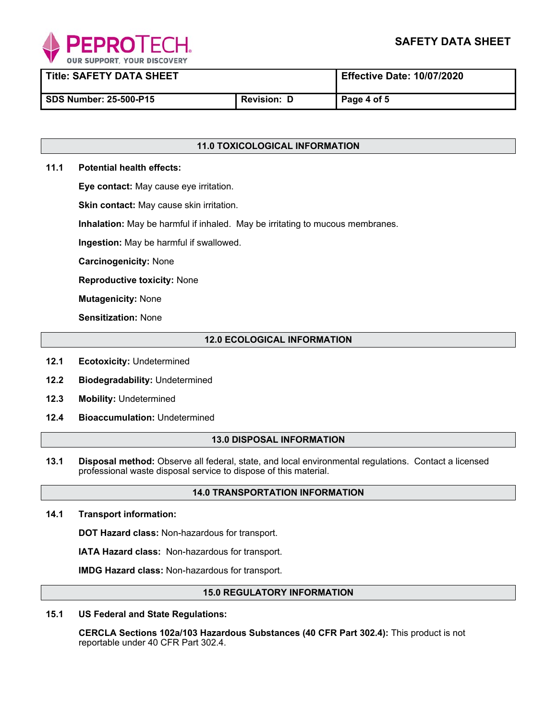

**Title: SAFETY DATA SHEET Effective Date: 10/07/2020** 

**SDS Number: 25-500-P15 Revision: D Page 4 of 5** 

# **11.0 TOXICOLOGICAL INFORMATION**

# **11.1 Potential health effects:**

**Eye contact:** May cause eye irritation.

**Skin contact:** May cause skin irritation.

**Inhalation:** May be harmful if inhaled. May be irritating to mucous membranes.

**Ingestion:** May be harmful if swallowed.

**Carcinogenicity:** None

**Reproductive toxicity:** None

**Mutagenicity:** None

**Sensitization:** None

# **12.0 ECOLOGICAL INFORMATION**

- **12.1 Ecotoxicity:** Undetermined
- **12.2 Biodegradability:** Undetermined
- $12.3$ **Mobility: Undetermined**
- **12.4 Bioaccumulation:** Undetermined

## **13.0 DISPOSAL INFORMATION**

**13.1 Disposal method:** Observe all federal, state, and local environmental regulations. Contact a licensed professional waste disposal service to dispose of this material.

# **14.0 TRANSPORTATION INFORMATION**

**14.1 Transport information:** 

**DOT Hazard class:** Non-hazardous for transport.

**IATA Hazard class:** Non-hazardous for transport.

**IMDG Hazard class:** Non-hazardous for transport.

## **15.0 REGULATORY INFORMATION**

**15.1 US Federal and State Regulations:** 

 **CERCLA Sections 102a/103 Hazardous Substances (40 CFR Part 302.4):** This product is not reportable under 40 CFR Part 302.4.